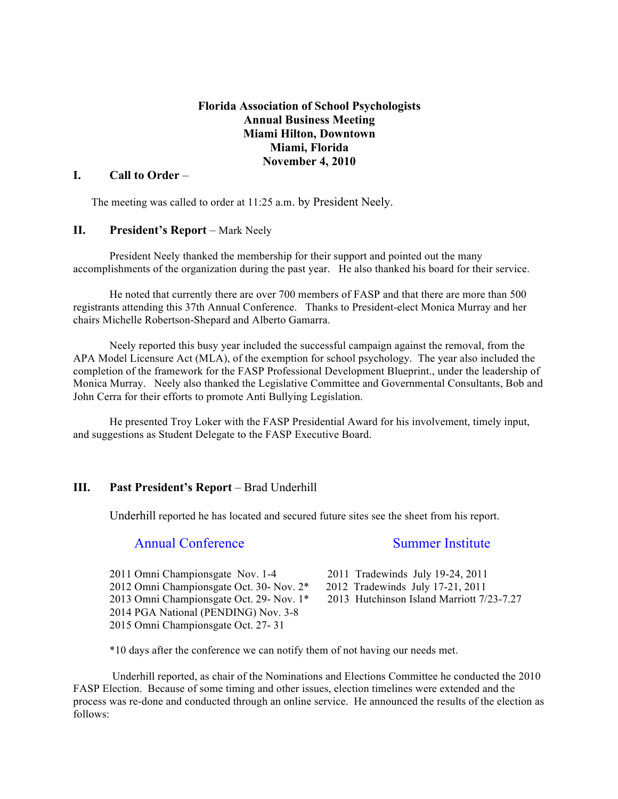### **Florida Association of School Psychologists Annual Business Meeting Miami Hilton, Downtown Miami, Florida November 4, 2010**

#### **I. Call to Order** –

The meeting was called to order at 11:25 a.m. by President Neely.

#### **II. President's Report** – Mark Neely

President Neely thanked the membership for their support and pointed out the many accomplishments of the organization during the past year. He also thanked his board for their service.

He noted that currently there are over 700 members of FASP and that there are more than 500 registrants attending this 37th Annual Conference. Thanks to President-elect Monica Murray and her chairs Michelle Robertson-Shepard and Alberto Gamarra.

Neely reported this busy year included the successful campaign against the removal, from the APA Model Licensure Act (MLA), of the exemption for school psychology. The year also included the completion of the framework for the FASP Professional Development Blueprint., under the leadership of Monica Murray. Neely also thanked the Legislative Committee and Governmental Consultants, Bob and John Cerra for their efforts to promote Anti Bullying Legislation.

He presented Troy Loker with the FASP Presidential Award for his involvement, timely input, and suggestions as Student Delegate to the FASP Executive Board.

#### **III. Past President's Report** – Brad Underhill

Underhill reported he has located and secured future sites see the sheet from his report.

# Annual Conference Summer Institute

2011 Omni Championsgate Nov. 1-4 2011 Tradewinds July 19-24, 2011 2012 Omni Championsgate Oct. 30- Nov. 2\* 2012 Tradewinds July 17-21, 2011<br>2013 Omni Championsgate Oct. 29- Nov. 1\* 2013 Hutchinson Island Marriott 7/23-7.27 2013 Omni Championsgate Oct. 29- Nov.  $1*$ 2014 PGA National (PENDING) Nov. 3-8 2015 Omni Championsgate Oct. 27- 31

- 
- 
- 

\*10 days after the conference we can notify them of not having our needs met.

Underhill reported, as chair of the Nominations and Elections Committee he conducted the 2010 FASP Election. Because of some timing and other issues, election timelines were extended and the process was re-done and conducted through an online service. He announced the results of the election as follows: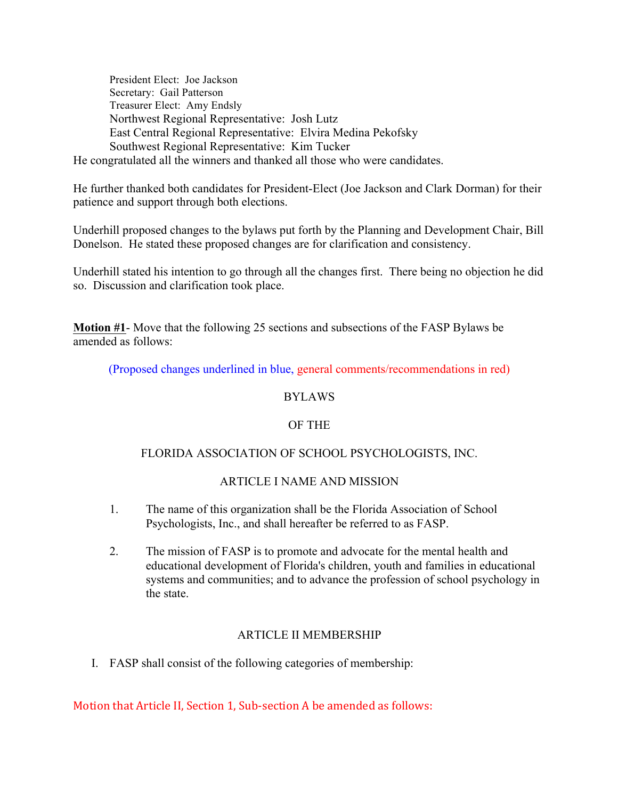President Elect: Joe Jackson Secretary: Gail Patterson Treasurer Elect: Amy Endsly Northwest Regional Representative: Josh Lutz East Central Regional Representative: Elvira Medina Pekofsky Southwest Regional Representative: Kim Tucker He congratulated all the winners and thanked all those who were candidates.

He further thanked both candidates for President-Elect (Joe Jackson and Clark Dorman) for their patience and support through both elections.

Underhill proposed changes to the bylaws put forth by the Planning and Development Chair, Bill Donelson. He stated these proposed changes are for clarification and consistency.

Underhill stated his intention to go through all the changes first. There being no objection he did so. Discussion and clarification took place.

**Motion #1**- Move that the following 25 sections and subsections of the FASP Bylaws be amended as follows:

(Proposed changes underlined in blue, general comments/recommendations in red)

### BYLAWS

# OF THE

# FLORIDA ASSOCIATION OF SCHOOL PSYCHOLOGISTS, INC.

# ARTICLE I NAME AND MISSION

- 1. The name of this organization shall be the Florida Association of School Psychologists, Inc., and shall hereafter be referred to as FASP.
- 2. The mission of FASP is to promote and advocate for the mental health and educational development of Florida's children, youth and families in educational systems and communities; and to advance the profession of school psychology in the state.

# ARTICLE II MEMBERSHIP

I. FASP shall consist of the following categories of membership:

Motion that Article II, Section 1, Sub-section A be amended as follows: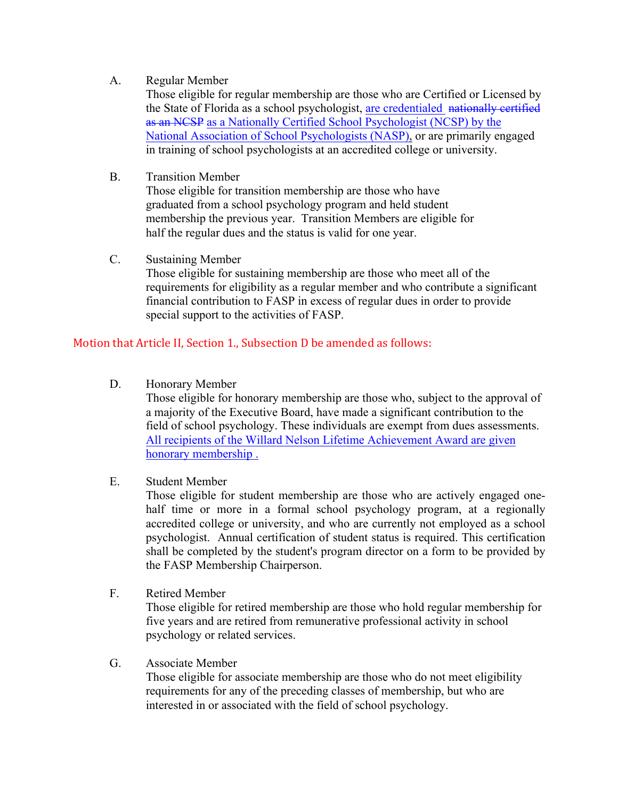# A. Regular Member

Those eligible for regular membership are those who are Certified or Licensed by the State of Florida as a school psychologist, are credentialed nationally certified as an NCSP as a Nationally Certified School Psychologist (NCSP) by the National Association of School Psychologists (NASP), or are primarily engaged in training of school psychologists at an accredited college or university.

# B. Transition Member

Those eligible for transition membership are those who have graduated from a school psychology program and held student membership the previous year. Transition Members are eligible for half the regular dues and the status is valid for one year.

C. Sustaining Member

Those eligible for sustaining membership are those who meet all of the requirements for eligibility as a regular member and who contribute a significant financial contribution to FASP in excess of regular dues in order to provide special support to the activities of FASP.

# Motion that Article II, Section 1., Subsection D be amended as follows:

D. Honorary Member

Those eligible for honorary membership are those who, subject to the approval of a majority of the Executive Board, have made a significant contribution to the field of school psychology. These individuals are exempt from dues assessments. All recipients of the Willard Nelson Lifetime Achievement Award are given honorary membership .

E. Student Member

Those eligible for student membership are those who are actively engaged onehalf time or more in a formal school psychology program, at a regionally accredited college or university, and who are currently not employed as a school psychologist. Annual certification of student status is required. This certification shall be completed by the student's program director on a form to be provided by the FASP Membership Chairperson.

F. Retired Member

Those eligible for retired membership are those who hold regular membership for five years and are retired from remunerative professional activity in school psychology or related services.

G. Associate Member

Those eligible for associate membership are those who do not meet eligibility requirements for any of the preceding classes of membership, but who are interested in or associated with the field of school psychology.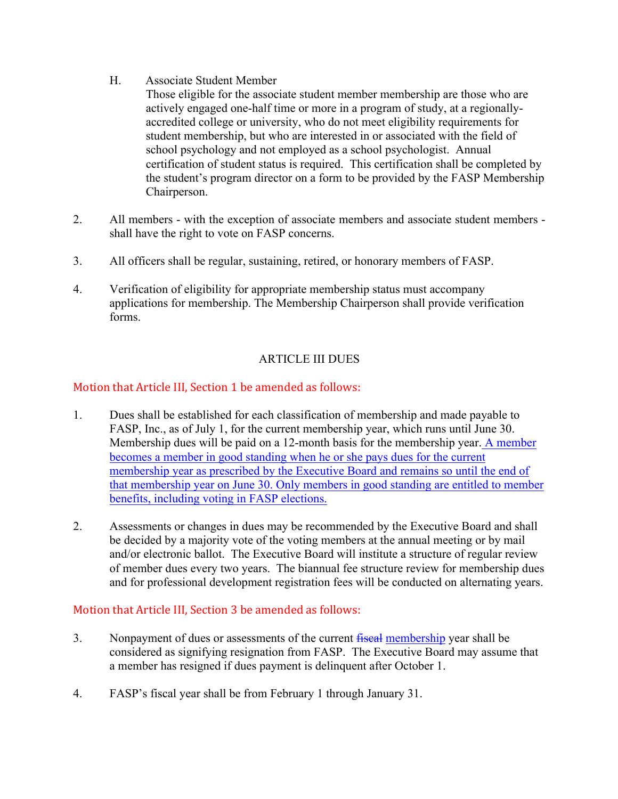H. Associate Student Member

Those eligible for the associate student member membership are those who are actively engaged one-half time or more in a program of study, at a regionallyaccredited college or university, who do not meet eligibility requirements for student membership, but who are interested in or associated with the field of school psychology and not employed as a school psychologist. Annual certification of student status is required. This certification shall be completed by the student's program director on a form to be provided by the FASP Membership Chairperson.

- 2. All members with the exception of associate members and associate student members shall have the right to vote on FASP concerns.
- 3. All officers shall be regular, sustaining, retired, or honorary members of FASP.
- 4. Verification of eligibility for appropriate membership status must accompany applications for membership. The Membership Chairperson shall provide verification forms.

# ARTICLE III DUES

# Motion that Article III, Section 1 be amended as follows:

- 1. Dues shall be established for each classification of membership and made payable to FASP, Inc., as of July 1, for the current membership year, which runs until June 30. Membership dues will be paid on a 12-month basis for the membership year. A member becomes a member in good standing when he or she pays dues for the current membership year as prescribed by the Executive Board and remains so until the end of that membership year on June 30. Only members in good standing are entitled to member benefits, including voting in FASP elections.
- 2. Assessments or changes in dues may be recommended by the Executive Board and shall be decided by a majority vote of the voting members at the annual meeting or by mail and/or electronic ballot. The Executive Board will institute a structure of regular review of member dues every two years. The biannual fee structure review for membership dues and for professional development registration fees will be conducted on alternating years.

# Motion that Article III, Section 3 be amended as follows:

- 3. Nonpayment of dues or assessments of the current fiscal membership year shall be considered as signifying resignation from FASP. The Executive Board may assume that a member has resigned if dues payment is delinquent after October 1.
- 4. FASP's fiscal year shall be from February 1 through January 31.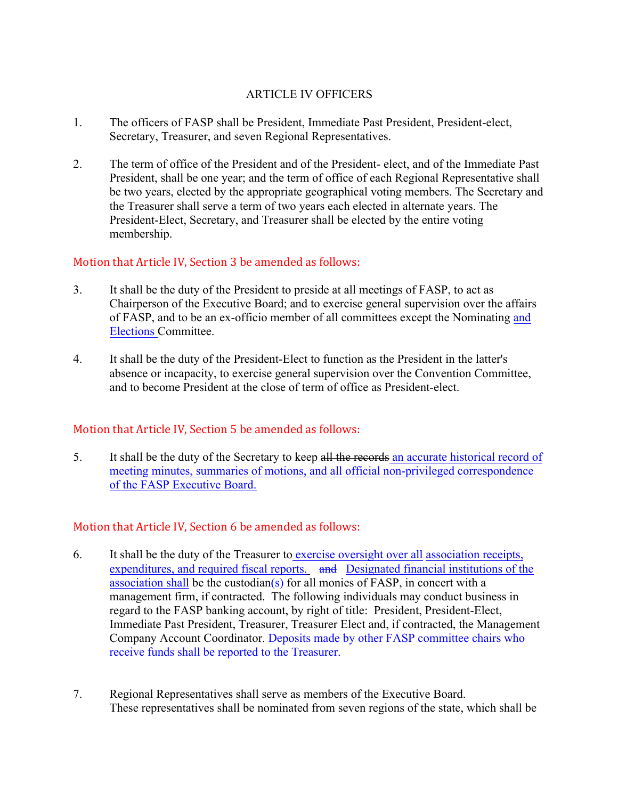# ARTICLE IV OFFICERS

- 1. The officers of FASP shall be President, Immediate Past President, President-elect, Secretary, Treasurer, and seven Regional Representatives.
- 2. The term of office of the President and of the President- elect, and of the Immediate Past President, shall be one year; and the term of office of each Regional Representative shall be two years, elected by the appropriate geographical voting members. The Secretary and the Treasurer shall serve a term of two years each elected in alternate years. The President-Elect, Secretary, and Treasurer shall be elected by the entire voting membership.

# Motion that Article IV, Section 3 be amended as follows:

- 3. It shall be the duty of the President to preside at all meetings of FASP, to act as Chairperson of the Executive Board; and to exercise general supervision over the affairs of FASP, and to be an ex-officio member of all committees except the Nominating and Elections Committee.
- 4. It shall be the duty of the President-Elect to function as the President in the latter's absence or incapacity, to exercise general supervision over the Convention Committee, and to become President at the close of term of office as President-elect.

# Motion that Article IV, Section 5 be amended as follows:

5. It shall be the duty of the Secretary to keep all the records an accurate historical record of meeting minutes, summaries of motions, and all official non-privileged correspondence of the FASP Executive Board.

# Motion that Article IV, Section 6 be amended as follows:

- 6. It shall be the duty of the Treasurer to exercise oversight over all association receipts, expenditures, and required fiscal reports. and Designated financial institutions of the association shall be the custodian(s) for all monies of  $FASP$ , in concert with a management firm, if contracted. The following individuals may conduct business in regard to the FASP banking account, by right of title: President, President-Elect, Immediate Past President, Treasurer, Treasurer Elect and, if contracted, the Management Company Account Coordinator. Deposits made by other FASP committee chairs who receive funds shall be reported to the Treasurer.
- 7. Regional Representatives shall serve as members of the Executive Board. These representatives shall be nominated from seven regions of the state, which shall be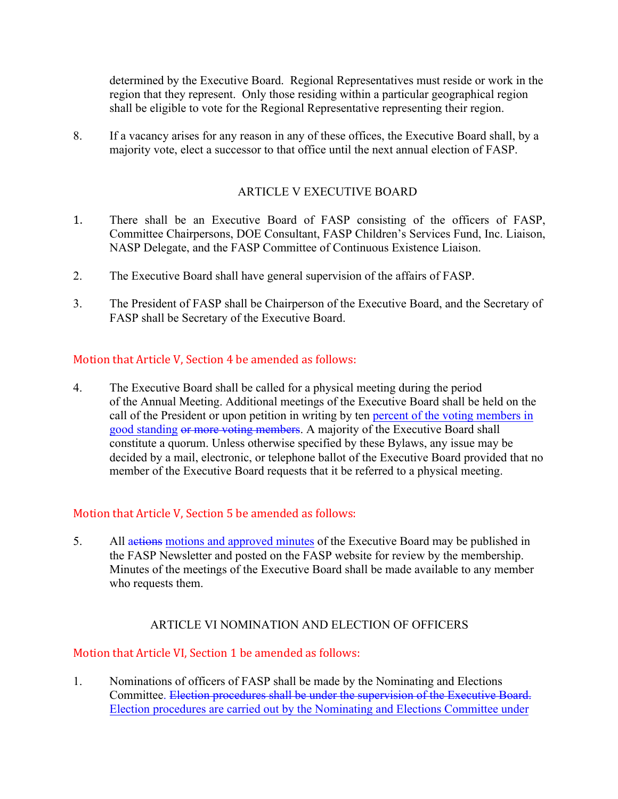determined by the Executive Board. Regional Representatives must reside or work in the region that they represent. Only those residing within a particular geographical region shall be eligible to vote for the Regional Representative representing their region.

8. If a vacancy arises for any reason in any of these offices, the Executive Board shall, by a majority vote, elect a successor to that office until the next annual election of FASP.

# ARTICLE V EXECUTIVE BOARD

- 1. There shall be an Executive Board of FASP consisting of the officers of FASP, Committee Chairpersons, DOE Consultant, FASP Children's Services Fund, Inc. Liaison, NASP Delegate, and the FASP Committee of Continuous Existence Liaison.
- 2. The Executive Board shall have general supervision of the affairs of FASP.
- 3. The President of FASP shall be Chairperson of the Executive Board, and the Secretary of FASP shall be Secretary of the Executive Board.

### Motion that Article V, Section 4 be amended as follows:

4. The Executive Board shall be called for a physical meeting during the period of the Annual Meeting. Additional meetings of the Executive Board shall be held on the call of the President or upon petition in writing by ten percent of the voting members in good standing or more voting members. A majority of the Executive Board shall constitute a quorum. Unless otherwise specified by these Bylaws, any issue may be decided by a mail, electronic, or telephone ballot of the Executive Board provided that no member of the Executive Board requests that it be referred to a physical meeting.

# Motion that Article V, Section 5 be amended as follows:

5. All actions motions and approved minutes of the Executive Board may be published in the FASP Newsletter and posted on the FASP website for review by the membership. Minutes of the meetings of the Executive Board shall be made available to any member who requests them.

# ARTICLE VI NOMINATION AND ELECTION OF OFFICERS

# Motion that Article VI, Section 1 be amended as follows:

1. Nominations of officers of FASP shall be made by the Nominating and Elections Committee. Election procedures shall be under the supervision of the Executive Board. Election procedures are carried out by the Nominating and Elections Committee under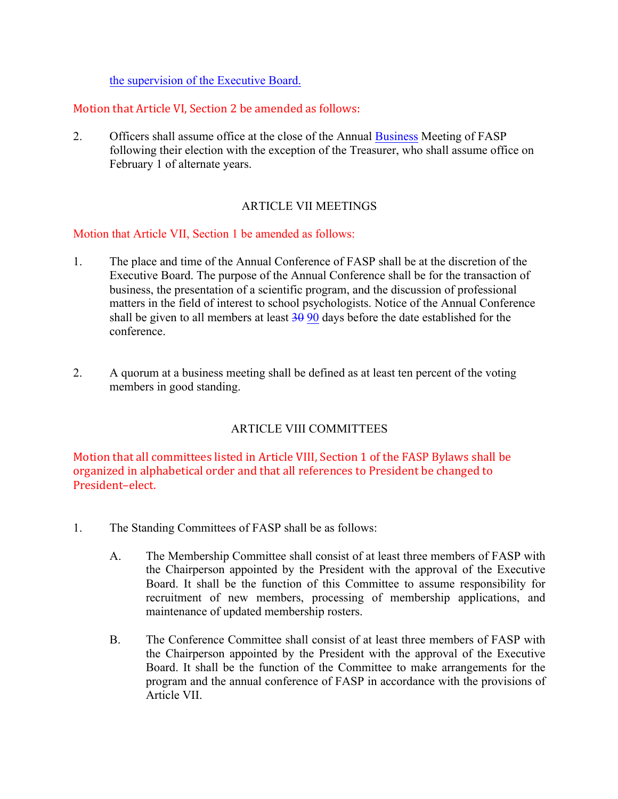the supervision of the Executive Board.

# Motion that Article VI, Section 2 be amended as follows:

2. Officers shall assume office at the close of the Annual Business Meeting of FASP following their election with the exception of the Treasurer, who shall assume office on February 1 of alternate years.

# ARTICLE VII MEETINGS

# Motion that Article VII, Section 1 be amended as follows:

- 1. The place and time of the Annual Conference of FASP shall be at the discretion of the Executive Board. The purpose of the Annual Conference shall be for the transaction of business, the presentation of a scientific program, and the discussion of professional matters in the field of interest to school psychologists. Notice of the Annual Conference shall be given to all members at least  $30\,90$  days before the date established for the conference.
- 2. A quorum at a business meeting shall be defined as at least ten percent of the voting members in good standing.

# ARTICLE VIII COMMITTEES

Motion that all committees listed in Article VIII, Section 1 of the FASP Bylaws shall be organized in alphabetical order and that all references to President be changed to President–elect.

- 1. The Standing Committees of FASP shall be as follows:
	- A. The Membership Committee shall consist of at least three members of FASP with the Chairperson appointed by the President with the approval of the Executive Board. It shall be the function of this Committee to assume responsibility for recruitment of new members, processing of membership applications, and maintenance of updated membership rosters.
	- B. The Conference Committee shall consist of at least three members of FASP with the Chairperson appointed by the President with the approval of the Executive Board. It shall be the function of the Committee to make arrangements for the program and the annual conference of FASP in accordance with the provisions of Article VII.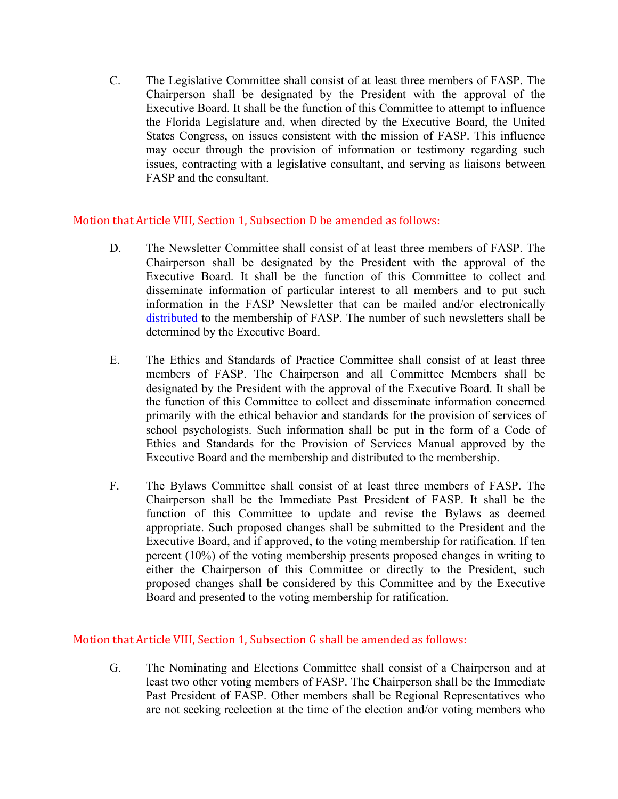C. The Legislative Committee shall consist of at least three members of FASP. The Chairperson shall be designated by the President with the approval of the Executive Board. It shall be the function of this Committee to attempt to influence the Florida Legislature and, when directed by the Executive Board, the United States Congress, on issues consistent with the mission of FASP. This influence may occur through the provision of information or testimony regarding such issues, contracting with a legislative consultant, and serving as liaisons between FASP and the consultant.

### Motion that Article VIII, Section 1, Subsection D be amended as follows:

- D. The Newsletter Committee shall consist of at least three members of FASP. The Chairperson shall be designated by the President with the approval of the Executive Board. It shall be the function of this Committee to collect and disseminate information of particular interest to all members and to put such information in the FASP Newsletter that can be mailed and/or electronically distributed to the membership of FASP. The number of such newsletters shall be determined by the Executive Board.
- E. The Ethics and Standards of Practice Committee shall consist of at least three members of FASP. The Chairperson and all Committee Members shall be designated by the President with the approval of the Executive Board. It shall be the function of this Committee to collect and disseminate information concerned primarily with the ethical behavior and standards for the provision of services of school psychologists. Such information shall be put in the form of a Code of Ethics and Standards for the Provision of Services Manual approved by the Executive Board and the membership and distributed to the membership.
- F. The Bylaws Committee shall consist of at least three members of FASP. The Chairperson shall be the Immediate Past President of FASP. It shall be the function of this Committee to update and revise the Bylaws as deemed appropriate. Such proposed changes shall be submitted to the President and the Executive Board, and if approved, to the voting membership for ratification. If ten percent (10%) of the voting membership presents proposed changes in writing to either the Chairperson of this Committee or directly to the President, such proposed changes shall be considered by this Committee and by the Executive Board and presented to the voting membership for ratification.

#### Motion that Article VIII, Section 1, Subsection G shall be amended as follows:

G. The Nominating and Elections Committee shall consist of a Chairperson and at least two other voting members of FASP. The Chairperson shall be the Immediate Past President of FASP. Other members shall be Regional Representatives who are not seeking reelection at the time of the election and/or voting members who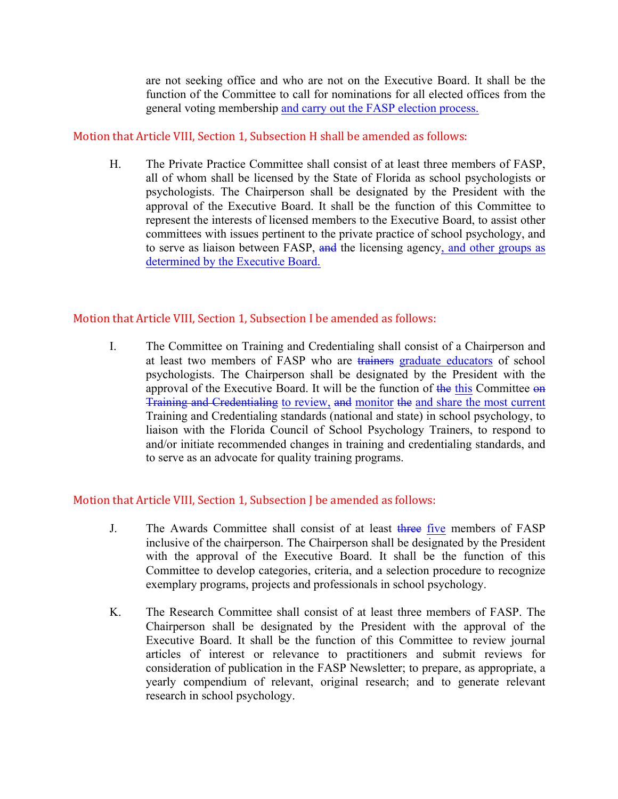are not seeking office and who are not on the Executive Board. It shall be the function of the Committee to call for nominations for all elected offices from the general voting membership and carry out the FASP election process.

# Motion that Article VIII, Section 1, Subsection H shall be amended as follows:

H. The Private Practice Committee shall consist of at least three members of FASP, all of whom shall be licensed by the State of Florida as school psychologists or psychologists. The Chairperson shall be designated by the President with the approval of the Executive Board. It shall be the function of this Committee to represent the interests of licensed members to the Executive Board, to assist other committees with issues pertinent to the private practice of school psychology, and to serve as liaison between FASP, and the licensing agency, and other groups as determined by the Executive Board.

# Motion that Article VIII, Section 1, Subsection I be amended as follows:

I. The Committee on Training and Credentialing shall consist of a Chairperson and at least two members of FASP who are trainers graduate educators of school psychologists. The Chairperson shall be designated by the President with the approval of the Executive Board. It will be the function of the this Committee on Training and Credentialing to review, and monitor the and share the most current Training and Credentialing standards (national and state) in school psychology, to liaison with the Florida Council of School Psychology Trainers, to respond to and/or initiate recommended changes in training and credentialing standards, and to serve as an advocate for quality training programs.

# Motion that Article VIII, Section 1, Subsection J be amended as follows:

- J. The Awards Committee shall consist of at least three five members of FASP inclusive of the chairperson. The Chairperson shall be designated by the President with the approval of the Executive Board. It shall be the function of this Committee to develop categories, criteria, and a selection procedure to recognize exemplary programs, projects and professionals in school psychology.
- K. The Research Committee shall consist of at least three members of FASP. The Chairperson shall be designated by the President with the approval of the Executive Board. It shall be the function of this Committee to review journal articles of interest or relevance to practitioners and submit reviews for consideration of publication in the FASP Newsletter; to prepare, as appropriate, a yearly compendium of relevant, original research; and to generate relevant research in school psychology.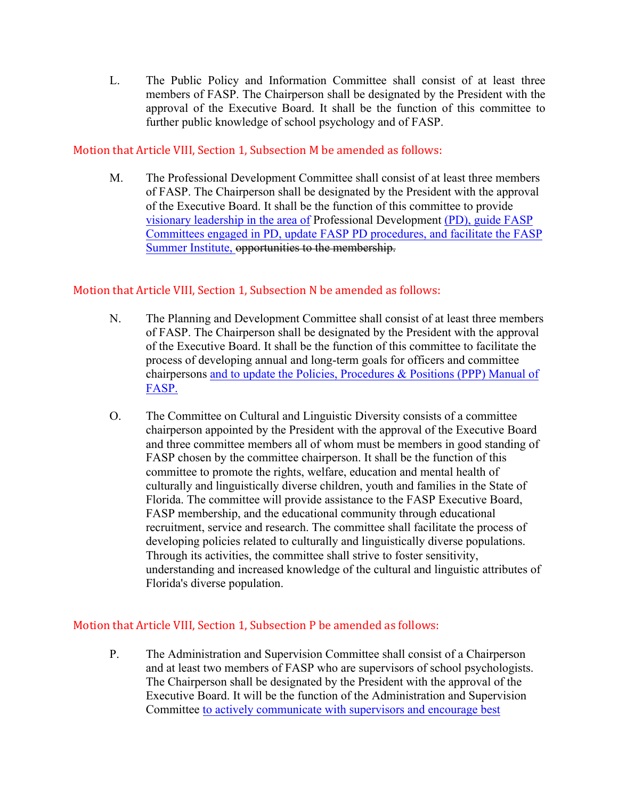L. The Public Policy and Information Committee shall consist of at least three members of FASP. The Chairperson shall be designated by the President with the approval of the Executive Board. It shall be the function of this committee to further public knowledge of school psychology and of FASP.

# Motion that Article VIII, Section 1, Subsection M be amended as follows:

M. The Professional Development Committee shall consist of at least three members of FASP. The Chairperson shall be designated by the President with the approval of the Executive Board. It shall be the function of this committee to provide visionary leadership in the area of Professional Development (PD), guide FASP Committees engaged in PD, update FASP PD procedures, and facilitate the FASP Summer Institute, opportunities to the membership.

# Motion that Article VIII, Section 1, Subsection N be amended as follows:

- N. The Planning and Development Committee shall consist of at least three members of FASP. The Chairperson shall be designated by the President with the approval of the Executive Board. It shall be the function of this committee to facilitate the process of developing annual and long-term goals for officers and committee chairpersons and to update the Policies, Procedures & Positions (PPP) Manual of FASP.
- O. The Committee on Cultural and Linguistic Diversity consists of a committee chairperson appointed by the President with the approval of the Executive Board and three committee members all of whom must be members in good standing of FASP chosen by the committee chairperson. It shall be the function of this committee to promote the rights, welfare, education and mental health of culturally and linguistically diverse children, youth and families in the State of Florida. The committee will provide assistance to the FASP Executive Board, FASP membership, and the educational community through educational recruitment, service and research. The committee shall facilitate the process of developing policies related to culturally and linguistically diverse populations. Through its activities, the committee shall strive to foster sensitivity, understanding and increased knowledge of the cultural and linguistic attributes of Florida's diverse population.

# Motion that Article VIII, Section 1, Subsection P be amended as follows:

P. The Administration and Supervision Committee shall consist of a Chairperson and at least two members of FASP who are supervisors of school psychologists. The Chairperson shall be designated by the President with the approval of the Executive Board. It will be the function of the Administration and Supervision Committee to actively communicate with supervisors and encourage best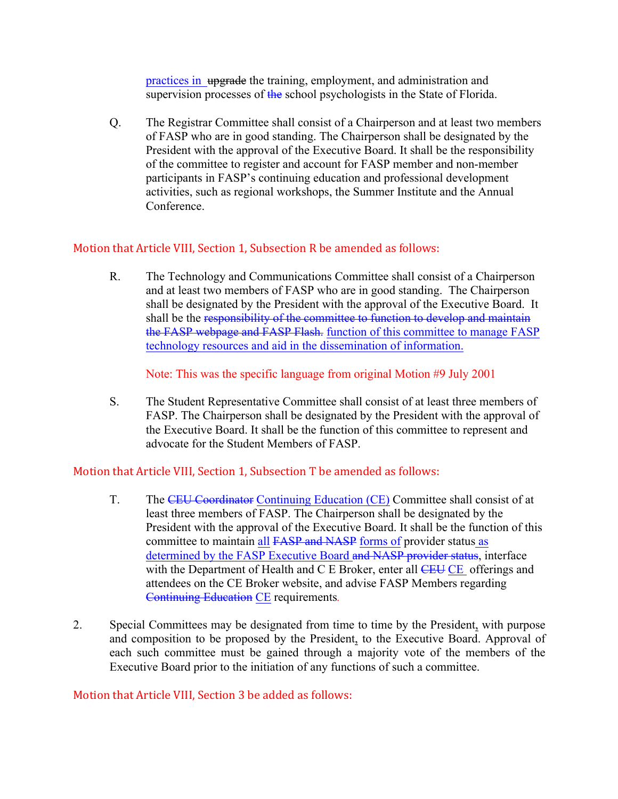practices in upgrade the training, employment, and administration and supervision processes of the school psychologists in the State of Florida.

Q. The Registrar Committee shall consist of a Chairperson and at least two members of FASP who are in good standing. The Chairperson shall be designated by the President with the approval of the Executive Board. It shall be the responsibility of the committee to register and account for FASP member and non-member participants in FASP's continuing education and professional development activities, such as regional workshops, the Summer Institute and the Annual Conference.

# Motion that Article VIII, Section 1, Subsection R be amended as follows:

R. The Technology and Communications Committee shall consist of a Chairperson and at least two members of FASP who are in good standing. The Chairperson shall be designated by the President with the approval of the Executive Board. It shall be the responsibility of the committee to function to develop and maintain the FASP webpage and FASP Flash. function of this committee to manage FASP technology resources and aid in the dissemination of information.

Note: This was the specific language from original Motion #9 July 2001

S. The Student Representative Committee shall consist of at least three members of FASP. The Chairperson shall be designated by the President with the approval of the Executive Board. It shall be the function of this committee to represent and advocate for the Student Members of FASP.

# Motion that Article VIII, Section 1, Subsection T be amended as follows:

- T. The CEU Coordinator Continuing Education (CE) Committee shall consist of at least three members of FASP. The Chairperson shall be designated by the President with the approval of the Executive Board. It shall be the function of this committee to maintain all FASP and NASP forms of provider status as determined by the FASP Executive Board and NASP provider status, interface with the Department of Health and C E Broker, enter all CEU CE offerings and attendees on the CE Broker website, and advise FASP Members regarding Continuing Education CE requirements*.*
- 2. Special Committees may be designated from time to time by the President, with purpose and composition to be proposed by the President, to the Executive Board. Approval of each such committee must be gained through a majority vote of the members of the Executive Board prior to the initiation of any functions of such a committee.

# Motion that Article VIII, Section 3 be added as follows: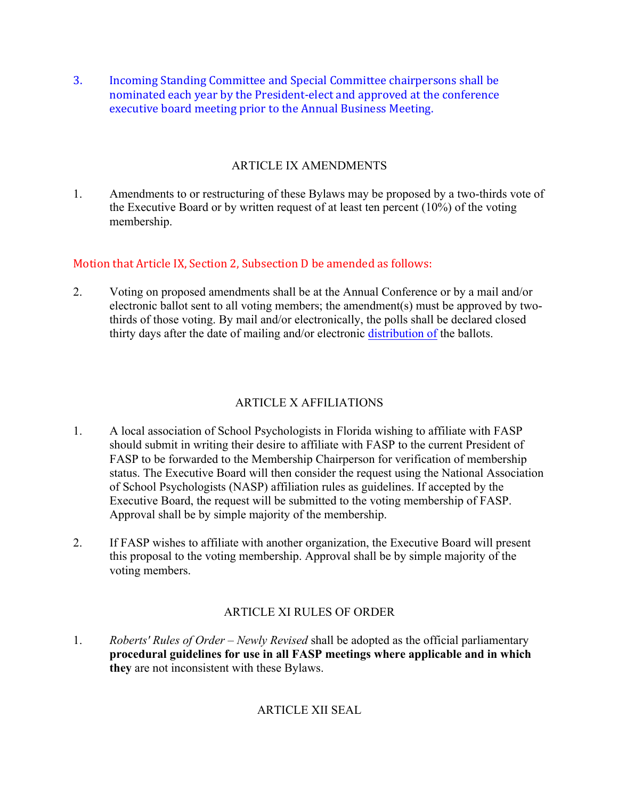3. Incoming Standing Committee and Special Committee chairpersons shall be nominated each year by the President-elect and approved at the conference executive board meeting prior to the Annual Business Meeting.

# ARTICLE IX AMENDMENTS

1. Amendments to or restructuring of these Bylaws may be proposed by a two-thirds vote of the Executive Board or by written request of at least ten percent (10%) of the voting membership.

# Motion that Article IX, Section 2, Subsection D be amended as follows:

2. Voting on proposed amendments shall be at the Annual Conference or by a mail and/or electronic ballot sent to all voting members; the amendment(s) must be approved by twothirds of those voting. By mail and/or electronically, the polls shall be declared closed thirty days after the date of mailing and/or electronic distribution of the ballots.

# ARTICLE X AFFILIATIONS

- 1. A local association of School Psychologists in Florida wishing to affiliate with FASP should submit in writing their desire to affiliate with FASP to the current President of FASP to be forwarded to the Membership Chairperson for verification of membership status. The Executive Board will then consider the request using the National Association of School Psychologists (NASP) affiliation rules as guidelines. If accepted by the Executive Board, the request will be submitted to the voting membership of FASP. Approval shall be by simple majority of the membership.
- 2. If FASP wishes to affiliate with another organization, the Executive Board will present this proposal to the voting membership. Approval shall be by simple majority of the voting members.

# ARTICLE XI RULES OF ORDER

1. *Roberts' Rules of Order – Newly Revised* shall be adopted as the official parliamentary **procedural guidelines for use in all FASP meetings where applicable and in which they** are not inconsistent with these Bylaws.

# ARTICLE XII SEAL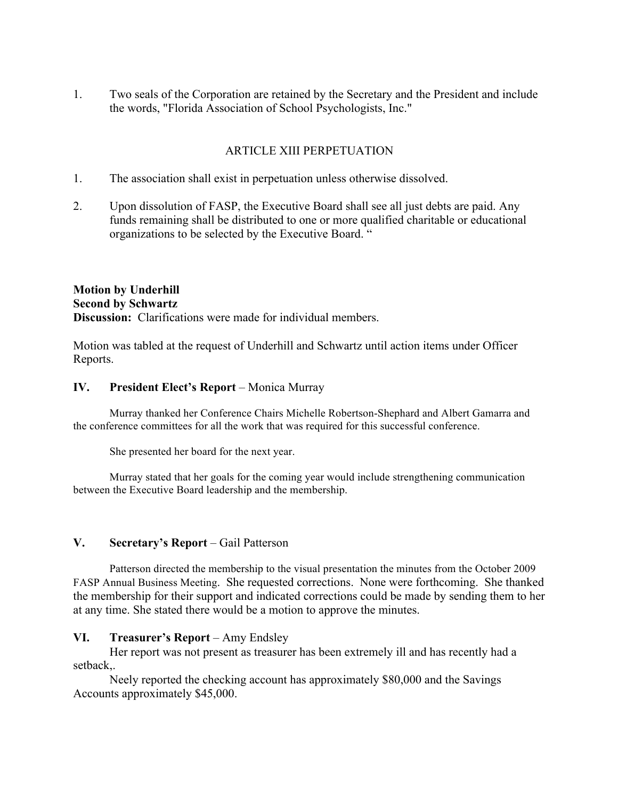1. Two seals of the Corporation are retained by the Secretary and the President and include the words, "Florida Association of School Psychologists, Inc."

# ARTICLE XIII PERPETUATION

- 1. The association shall exist in perpetuation unless otherwise dissolved.
- 2. Upon dissolution of FASP, the Executive Board shall see all just debts are paid. Any funds remaining shall be distributed to one or more qualified charitable or educational organizations to be selected by the Executive Board. "

# **Motion by Underhill Second by Schwartz Discussion:** Clarifications were made for individual members.

Motion was tabled at the request of Underhill and Schwartz until action items under Officer Reports.

### **IV. President Elect's Report** – Monica Murray

Murray thanked her Conference Chairs Michelle Robertson-Shephard and Albert Gamarra and the conference committees for all the work that was required for this successful conference.

She presented her board for the next year.

Murray stated that her goals for the coming year would include strengthening communication between the Executive Board leadership and the membership.

# **V. Secretary's Report** – Gail Patterson

Patterson directed the membership to the visual presentation the minutes from the October 2009 FASP Annual Business Meeting. She requested corrections. None were forthcoming. She thanked the membership for their support and indicated corrections could be made by sending them to her at any time. She stated there would be a motion to approve the minutes.

# **VI. Treasurer's Report** – Amy Endsley

Her report was not present as treasurer has been extremely ill and has recently had a setback,.

Neely reported the checking account has approximately \$80,000 and the Savings Accounts approximately \$45,000.